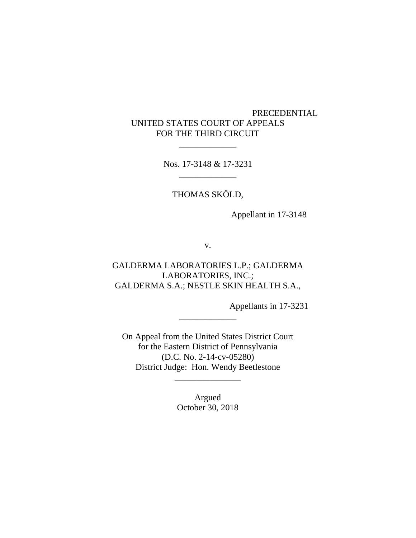# PRECEDENTIAL UNITED STATES COURT OF APPEALS FOR THE THIRD CIRCUIT

Nos. 17-3148 & 17-3231 \_\_\_\_\_\_\_\_\_\_\_\_\_

\_\_\_\_\_\_\_\_\_\_\_\_\_

THOMAS SKÖLD,

Appellant in 17-3148

v.

GALDERMA LABORATORIES L.P.; GALDERMA LABORATORIES, INC.; GALDERMA S.A.; NESTLE SKIN HEALTH S.A.,

Appellants in 17-3231

On Appeal from the United States District Court for the Eastern District of Pennsylvania (D.C. No. 2-14-cv-05280) District Judge: Hon. Wendy Beetlestone

\_\_\_\_\_\_\_\_\_\_\_\_\_

Argued October 30, 2018

\_\_\_\_\_\_\_\_\_\_\_\_\_\_\_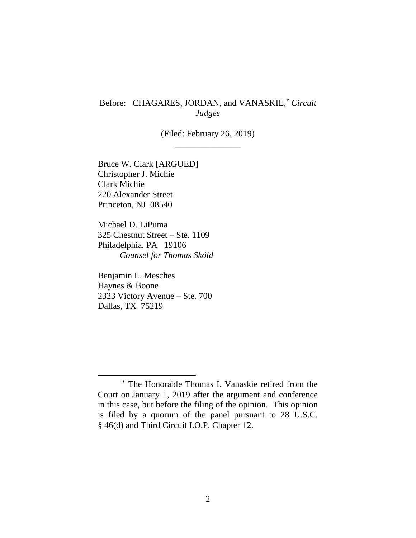# Before: CHAGARES, JORDAN, and VANASKIE,\* *Circuit Judges*

(Filed: February 26, 2019) \_\_\_\_\_\_\_\_\_\_\_\_\_\_\_

Bruce W. Clark [ARGUED] Christopher J. Michie Clark Michie 220 Alexander Street Princeton, NJ 08540

Michael D. LiPuma 325 Chestnut Street – Ste. 1109 Philadelphia, PA 19106 *Counsel for Thomas Sköld*

Benjamin L. Mesches Haynes & Boone 2323 Victory Avenue – Ste. 700 Dallas, TX 75219

<sup>\*</sup> The Honorable Thomas I. Vanaskie retired from the Court on January 1, 2019 after the argument and conference in this case, but before the filing of the opinion. This opinion is filed by a quorum of the panel pursuant to 28 U.S.C. § 46(d) and Third Circuit I.O.P. Chapter 12.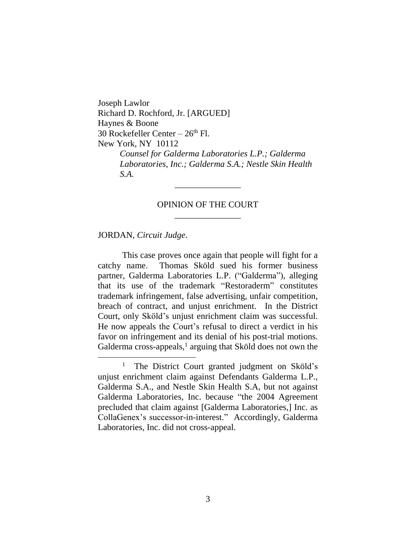Joseph Lawlor Richard D. Rochford, Jr. [ARGUED] Haynes & Boone 30 Rockefeller Center  $-26<sup>th</sup>$  Fl. New York, NY 10112 *Counsel for Galderma Laboratories L.P.; Galderma Laboratories, Inc.; Galderma S.A.; Nestle Skin Health S.A.*

### OPINION OF THE COURT \_\_\_\_\_\_\_\_\_\_\_\_\_\_\_

\_\_\_\_\_\_\_\_\_\_\_\_\_\_\_

JORDAN, *Circuit Judge*.

 $\overline{a}$ 

This case proves once again that people will fight for a catchy name. Thomas Sköld sued his former business partner, Galderma Laboratories L.P. ("Galderma"), alleging that its use of the trademark "Restoraderm" constitutes trademark infringement, false advertising, unfair competition, breach of contract, and unjust enrichment. In the District Court, only Sköld's unjust enrichment claim was successful. He now appeals the Court's refusal to direct a verdict in his favor on infringement and its denial of his post-trial motions. Galderma cross-appeals,<sup>1</sup> arguing that Sköld does not own the

<sup>&</sup>lt;sup>1</sup> The District Court granted judgment on Sköld's unjust enrichment claim against Defendants Galderma L.P., Galderma S.A., and Nestle Skin Health S.A, but not against Galderma Laboratories, Inc. because "the 2004 Agreement precluded that claim against [Galderma Laboratories,] Inc. as CollaGenex's successor-in-interest." Accordingly, Galderma Laboratories, Inc. did not cross-appeal.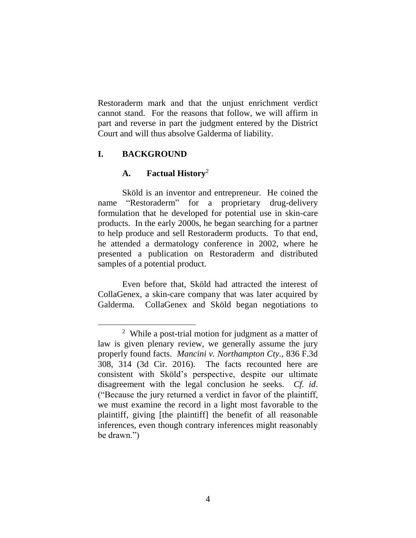Restoraderm mark and that the unjust enrichment verdict cannot stand. For the reasons that follow, we will affirm in part and reverse in part the judgment entered by the District Court and will thus absolve Galderma of liability.

# **I. BACKGROUND**

 $\overline{a}$ 

### **A. Factual History**<sup>2</sup>

Sköld is an inventor and entrepreneur. He coined the name "Restoraderm" for a proprietary drug-delivery formulation that he developed for potential use in skin-care products. In the early 2000s, he began searching for a partner to help produce and sell Restoraderm products. To that end, he attended a dermatology conference in 2002, where he presented a publication on Restoraderm and distributed samples of a potential product.

Even before that, Sköld had attracted the interest of CollaGenex, a skin-care company that was later acquired by Galderma. CollaGenex and Sköld began negotiations to

<sup>2</sup> While a post-trial motion for judgment as a matter of law is given plenary review, we generally assume the jury properly found facts. *Mancini v. Northampton Cty.*, 836 F.3d 308, 314 (3d Cir. 2016). The facts recounted here are consistent with Sköld's perspective, despite our ultimate disagreement with the legal conclusion he seeks. *Cf. id*. ("Because the jury returned a verdict in favor of the plaintiff, we must examine the record in a light most favorable to the plaintiff, giving [the plaintiff] the benefit of all reasonable inferences, even though contrary inferences might reasonably be drawn.")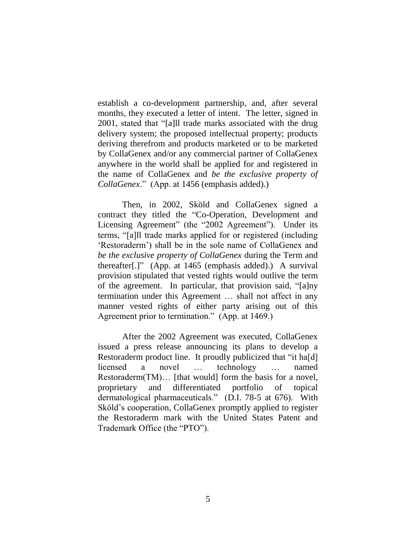establish a co-development partnership, and, after several months, they executed a letter of intent. The letter, signed in 2001, stated that "[a]ll trade marks associated with the drug delivery system; the proposed intellectual property; products deriving therefrom and products marketed or to be marketed by CollaGenex and/or any commercial partner of CollaGenex anywhere in the world shall be applied for and registered in the name of CollaGenex and *be the exclusive property of CollaGenex*." (App. at 1456 (emphasis added).)

Then, in 2002, Sköld and CollaGenex signed a contract they titled the "Co-Operation, Development and Licensing Agreement" (the "2002 Agreement"). Under its terms, "[a]ll trade marks applied for or registered (including 'Restoraderm') shall be in the sole name of CollaGenex and *be the exclusive property of CollaGenex* during the Term and thereafter[.]" (App. at 1465 (emphasis added).) A survival provision stipulated that vested rights would outlive the term of the agreement. In particular, that provision said, "[a]ny termination under this Agreement … shall not affect in any manner vested rights of either party arising out of this Agreement prior to termination." (App. at 1469.)

After the 2002 Agreement was executed, CollaGenex issued a press release announcing its plans to develop a Restoraderm product line. It proudly publicized that "it hald licensed a novel … technology … named Restoraderm(TM)… [that would] form the basis for a novel, proprietary and differentiated portfolio of topical dermatological pharmaceuticals." (D.I. 78-5 at 676). With Sköld's cooperation, CollaGenex promptly applied to register the Restoraderm mark with the United States Patent and Trademark Office (the "PTO").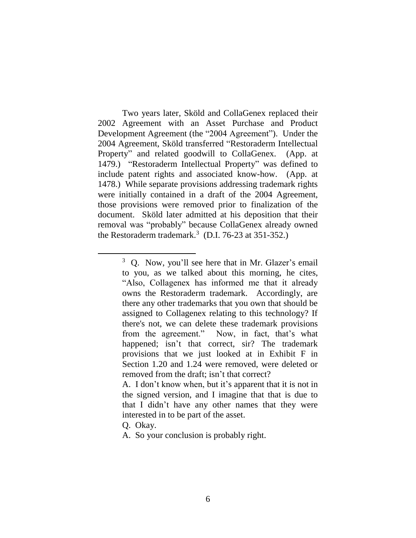Two years later, Sköld and CollaGenex replaced their 2002 Agreement with an Asset Purchase and Product Development Agreement (the "2004 Agreement"). Under the 2004 Agreement, Sköld transferred "Restoraderm Intellectual Property" and related goodwill to CollaGenex. (App. at 1479.) "Restoraderm Intellectual Property" was defined to include patent rights and associated know-how. (App. at 1478.) While separate provisions addressing trademark rights were initially contained in a draft of the 2004 Agreement, those provisions were removed prior to finalization of the document. Sköld later admitted at his deposition that their removal was "probably" because CollaGenex already owned the Restoraderm trademark.<sup>3</sup> (D.I. 76-23 at 351-352.)

Q. Okay.

 $\overline{a}$ 

A. So your conclusion is probably right.

<sup>3</sup> Q. Now, you'll see here that in Mr. Glazer's email to you, as we talked about this morning, he cites, "Also, Collagenex has informed me that it already owns the Restoraderm trademark. Accordingly, are there any other trademarks that you own that should be assigned to Collagenex relating to this technology? If there's not, we can delete these trademark provisions from the agreement." Now, in fact, that's what happened; isn't that correct, sir? The trademark provisions that we just looked at in Exhibit F in Section 1.20 and 1.24 were removed, were deleted or removed from the draft; isn't that correct?

A. I don't know when, but it's apparent that it is not in the signed version, and I imagine that that is due to that I didn't have any other names that they were interested in to be part of the asset.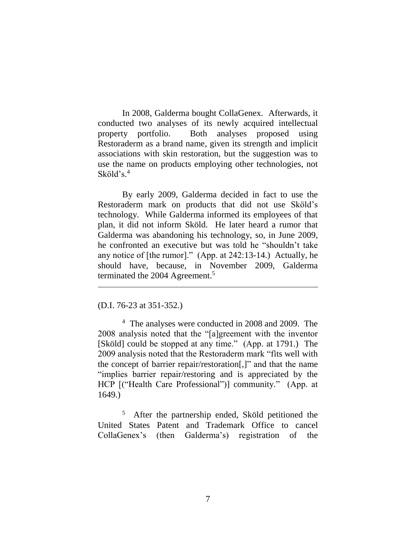In 2008, Galderma bought CollaGenex. Afterwards, it conducted two analyses of its newly acquired intellectual property portfolio. Both analyses proposed using Restoraderm as a brand name, given its strength and implicit associations with skin restoration, but the suggestion was to use the name on products employing other technologies, not Sköld's. 4

By early 2009, Galderma decided in fact to use the Restoraderm mark on products that did not use Sköld's technology. While Galderma informed its employees of that plan, it did not inform Sköld. He later heard a rumor that Galderma was abandoning his technology, so, in June 2009, he confronted an executive but was told he "shouldn't take any notice of [the rumor]." (App. at 242:13-14.) Actually, he should have, because, in November 2009, Galderma terminated the 2004 Agreement. 5

#### (D.I. 76-23 at 351-352.)

 $\overline{a}$ 

4 The analyses were conducted in 2008 and 2009. The 2008 analysis noted that the "[a]greement with the inventor [Sköld] could be stopped at any time." (App. at 1791.) The 2009 analysis noted that the Restoraderm mark "fits well with the concept of barrier repair/restoration[,]" and that the name "implies barrier repair/restoring and is appreciated by the HCP [("Health Care Professional")] community." (App. at 1649.)

5 After the partnership ended, Sköld petitioned the United States Patent and Trademark Office to cancel CollaGenex's (then Galderma's) registration of the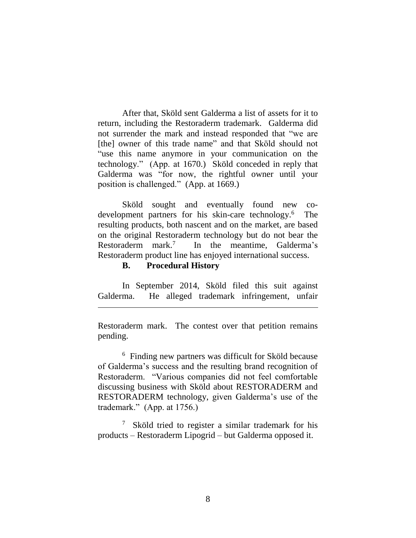After that, Sköld sent Galderma a list of assets for it to return, including the Restoraderm trademark. Galderma did not surrender the mark and instead responded that "we are [the] owner of this trade name" and that Sköld should not "use this name anymore in your communication on the technology." (App. at 1670.) Sköld conceded in reply that Galderma was "for now, the rightful owner until your position is challenged." (App. at 1669.)

Sköld sought and eventually found new codevelopment partners for his skin-care technology. 6 The resulting products, both nascent and on the market, are based on the original Restoraderm technology but do not bear the Restoraderm mark. 7 In the meantime, Galderma's Restoraderm product line has enjoyed international success.

#### **B. Procedural History**

 $\overline{a}$ 

In September 2014, Sköld filed this suit against Galderma. He alleged trademark infringement, unfair

Restoraderm mark. The contest over that petition remains pending.

<sup>6</sup> Finding new partners was difficult for Sköld because of Galderma's success and the resulting brand recognition of Restoraderm. "Various companies did not feel comfortable discussing business with Sköld about RESTORADERM and RESTORADERM technology, given Galderma's use of the trademark." (App. at 1756.)

<sup>7</sup> Sköld tried to register a similar trademark for his products – Restoraderm Lipogrid – but Galderma opposed it.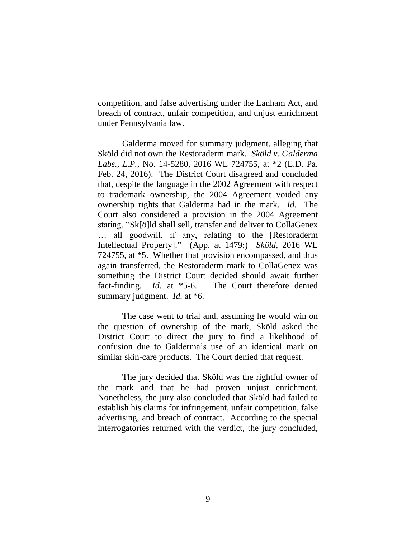competition, and false advertising under the Lanham Act, and breach of contract, unfair competition, and unjust enrichment under Pennsylvania law.

Galderma moved for summary judgment, alleging that Sköld did not own the Restoraderm mark. *Sköld v. Galderma Labs., L.P.*, No. 14-5280, 2016 WL 724755, at \*2 (E.D. Pa. Feb. 24, 2016).The District Court disagreed and concluded that, despite the language in the 2002 Agreement with respect to trademark ownership, the 2004 Agreement voided any ownership rights that Galderma had in the mark. *Id.* The Court also considered a provision in the 2004 Agreement stating, "Sk[ö]ld shall sell, transfer and deliver to CollaGenex … all goodwill, if any, relating to the [Restoraderm Intellectual Property]." (App. at 1479;) *Sköld*, 2016 WL 724755, at \*5. Whether that provision encompassed, and thus again transferred, the Restoraderm mark to CollaGenex was something the District Court decided should await further fact-finding. *Id.* at \*5-6.The Court therefore denied summary judgment. *Id.* at \*6.

The case went to trial and, assuming he would win on the question of ownership of the mark, Sköld asked the District Court to direct the jury to find a likelihood of confusion due to Galderma's use of an identical mark on similar skin-care products. The Court denied that request.

The jury decided that Sköld was the rightful owner of the mark and that he had proven unjust enrichment. Nonetheless, the jury also concluded that Sköld had failed to establish his claims for infringement, unfair competition, false advertising, and breach of contract. According to the special interrogatories returned with the verdict, the jury concluded,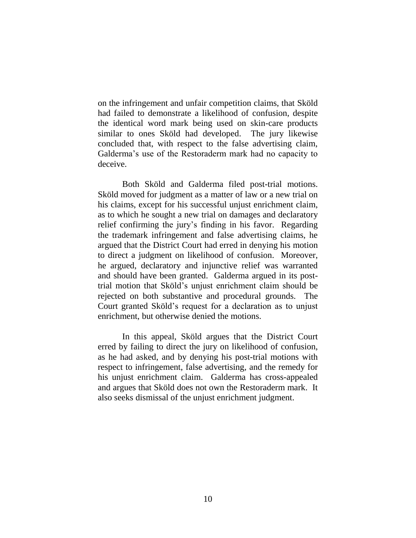on the infringement and unfair competition claims, that Sköld had failed to demonstrate a likelihood of confusion, despite the identical word mark being used on skin-care products similar to ones Sköld had developed. The jury likewise concluded that, with respect to the false advertising claim, Galderma's use of the Restoraderm mark had no capacity to deceive.

Both Sköld and Galderma filed post-trial motions. Sköld moved for judgment as a matter of law or a new trial on his claims, except for his successful unjust enrichment claim, as to which he sought a new trial on damages and declaratory relief confirming the jury's finding in his favor. Regarding the trademark infringement and false advertising claims, he argued that the District Court had erred in denying his motion to direct a judgment on likelihood of confusion. Moreover, he argued, declaratory and injunctive relief was warranted and should have been granted.Galderma argued in its posttrial motion that Sköld's unjust enrichment claim should be rejected on both substantive and procedural grounds.The Court granted Sköld's request for a declaration as to unjust enrichment, but otherwise denied the motions.

In this appeal, Sköld argues that the District Court erred by failing to direct the jury on likelihood of confusion, as he had asked, and by denying his post-trial motions with respect to infringement, false advertising, and the remedy for his unjust enrichment claim. Galderma has cross-appealed and argues that Sköld does not own the Restoraderm mark. It also seeks dismissal of the unjust enrichment judgment.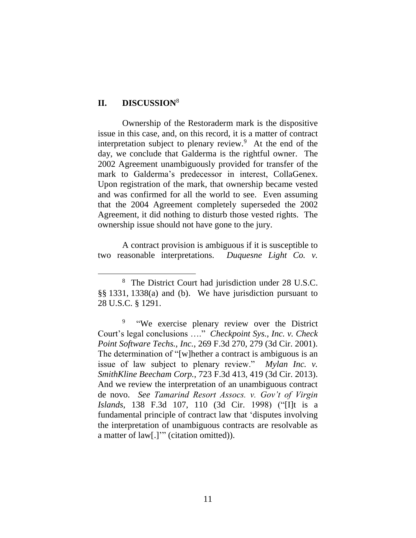#### **II. DISCUSSION**<sup>8</sup>

 $\overline{a}$ 

Ownership of the Restoraderm mark is the dispositive issue in this case, and, on this record, it is a matter of contract interpretation subject to plenary review. $9$  At the end of the day, we conclude that Galderma is the rightful owner. The 2002 Agreement unambiguously provided for transfer of the mark to Galderma's predecessor in interest, CollaGenex. Upon registration of the mark, that ownership became vested and was confirmed for all the world to see. Even assuming that the 2004 Agreement completely superseded the 2002 Agreement, it did nothing to disturb those vested rights. The ownership issue should not have gone to the jury.

A contract provision is ambiguous if it is susceptible to two reasonable interpretations. *Duquesne Light Co. v.* 

<sup>8</sup> The District Court had jurisdiction under 28 U.S.C. §§ 1331, 1338(a) and (b). We have jurisdiction pursuant to 28 U.S.C. § 1291.

<sup>9</sup> "We exercise plenary review over the District Court's legal conclusions …." *Checkpoint Sys., Inc. v. Check Point Software Techs., Inc.*, 269 F.3d 270, 279 (3d Cir. 2001). The determination of "[w]hether a contract is ambiguous is an issue of law subject to plenary review." *Mylan Inc. v. SmithKline Beecham Corp.*, 723 F.3d 413, 419 (3d Cir. 2013). And we review the interpretation of an unambiguous contract de novo. *See Tamarind Resort Assocs. v. Gov't of Virgin Islands*, 138 F.3d 107, 110 (3d Cir. 1998) ("[I]t is a fundamental principle of contract law that 'disputes involving the interpretation of unambiguous contracts are resolvable as a matter of law[.]'" (citation omitted)).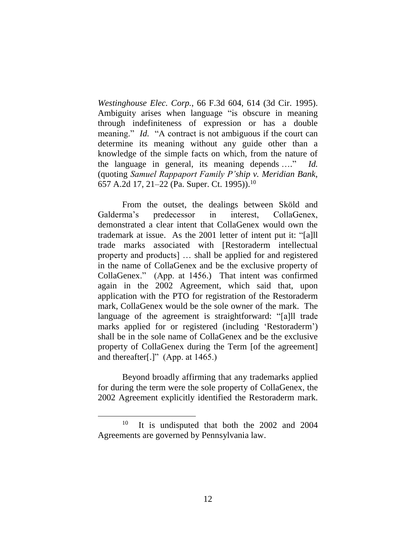*Westinghouse Elec. Corp.*, 66 F.3d 604, 614 (3d Cir. 1995). Ambiguity arises when language "is obscure in meaning through indefiniteness of expression or has a double meaning." *Id.* "A contract is not ambiguous if the court can determine its meaning without any guide other than a knowledge of the simple facts on which, from the nature of the language in general, its meaning depends …." *Id.* (quoting *Samuel Rappaport Family P'ship v. Meridian Bank*, 657 A.2d 17, 21–22 (Pa. Super. Ct. 1995)).<sup>10</sup>

From the outset, the dealings between Sköld and Galderma's predecessor in interest, CollaGenex, demonstrated a clear intent that CollaGenex would own the trademark at issue. As the 2001 letter of intent put it: "[a]ll trade marks associated with [Restoraderm intellectual property and products] … shall be applied for and registered in the name of CollaGenex and be the exclusive property of CollaGenex." (App. at 1456.) That intent was confirmed again in the 2002 Agreement, which said that, upon application with the PTO for registration of the Restoraderm mark, CollaGenex would be the sole owner of the mark. The language of the agreement is straightforward: "[a]ll trade marks applied for or registered (including 'Restoraderm') shall be in the sole name of CollaGenex and be the exclusive property of CollaGenex during the Term [of the agreement] and thereafter[.]" (App. at 1465.)

Beyond broadly affirming that any trademarks applied for during the term were the sole property of CollaGenex, the 2002 Agreement explicitly identified the Restoraderm mark.

<sup>10</sup> It is undisputed that both the 2002 and 2004 Agreements are governed by Pennsylvania law.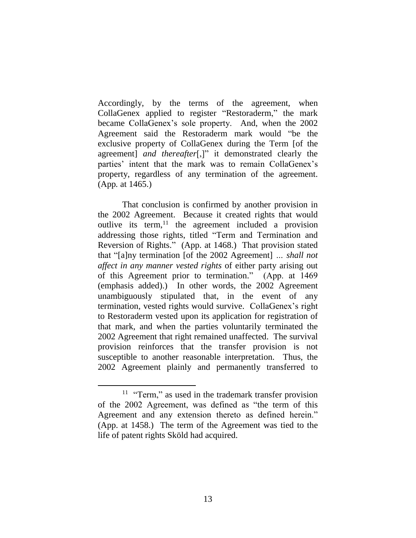Accordingly, by the terms of the agreement, when CollaGenex applied to register "Restoraderm," the mark became CollaGenex's sole property. And, when the 2002 Agreement said the Restoraderm mark would "be the exclusive property of CollaGenex during the Term [of the agreement] *and thereafter*[,]" it demonstrated clearly the parties' intent that the mark was to remain CollaGenex's property, regardless of any termination of the agreement. (App*.* at 1465.)

That conclusion is confirmed by another provision in the 2002 Agreement. Because it created rights that would outlive its term, <sup>11</sup> the agreement included a provision addressing those rights, titled "Term and Termination and Reversion of Rights." (App. at 1468.) That provision stated that "[a]ny termination [of the 2002 Agreement] *… shall not affect in any manner vested rights* of either party arising out of this Agreement prior to termination." (App. at 1469 (emphasis added).) In other words, the 2002 Agreement unambiguously stipulated that, in the event of any termination, vested rights would survive. CollaGenex's right to Restoraderm vested upon its application for registration of that mark, and when the parties voluntarily terminated the 2002 Agreement that right remained unaffected. The survival provision reinforces that the transfer provision is not susceptible to another reasonable interpretation. Thus, the 2002 Agreement plainly and permanently transferred to

<sup>&</sup>lt;sup>11</sup> "Term," as used in the trademark transfer provision of the 2002 Agreement, was defined as "the term of this Agreement and any extension thereto as defined herein." (App. at 1458.) The term of the Agreement was tied to the life of patent rights Sköld had acquired.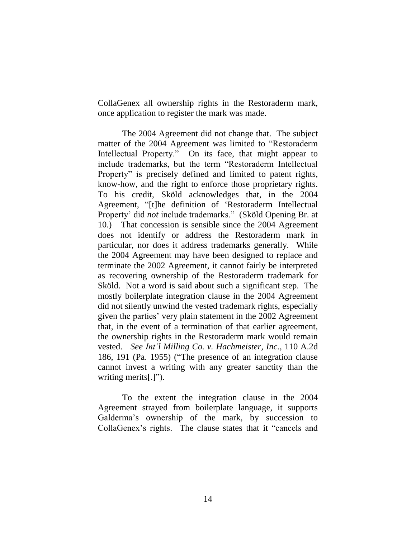CollaGenex all ownership rights in the Restoraderm mark, once application to register the mark was made.

The 2004 Agreement did not change that. The subject matter of the 2004 Agreement was limited to "Restoraderm Intellectual Property." On its face, that might appear to include trademarks, but the term "Restoraderm Intellectual Property" is precisely defined and limited to patent rights, know-how, and the right to enforce those proprietary rights. To his credit, Sköld acknowledges that, in the 2004 Agreement, "[t]he definition of 'Restoraderm Intellectual Property' did *not* include trademarks." (Sköld Opening Br. at 10.) That concession is sensible since the 2004 Agreement does not identify or address the Restoraderm mark in particular, nor does it address trademarks generally. While the 2004 Agreement may have been designed to replace and terminate the 2002 Agreement, it cannot fairly be interpreted as recovering ownership of the Restoraderm trademark for Sköld. Not a word is said about such a significant step. The mostly boilerplate integration clause in the 2004 Agreement did not silently unwind the vested trademark rights, especially given the parties' very plain statement in the 2002 Agreement that, in the event of a termination of that earlier agreement, the ownership rights in the Restoraderm mark would remain vested. *See Int'l Milling Co. v. Hachmeister, Inc.*, 110 A.2d 186, 191 (Pa. 1955) ("The presence of an integration clause cannot invest a writing with any greater sanctity than the writing merits[.]").

To the extent the integration clause in the 2004 Agreement strayed from boilerplate language, it supports Galderma's ownership of the mark, by succession to CollaGenex's rights. The clause states that it "cancels and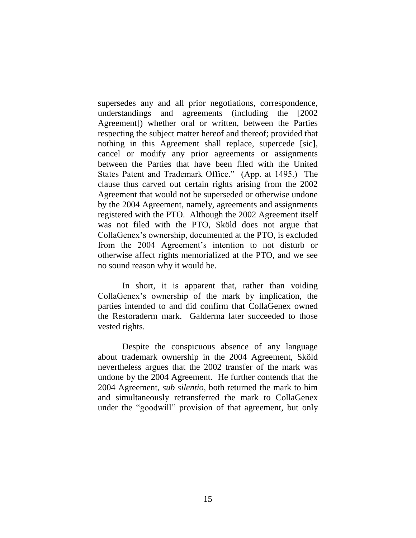supersedes any and all prior negotiations, correspondence, understandings and agreements (including the [2002 Agreement]) whether oral or written, between the Parties respecting the subject matter hereof and thereof; provided that nothing in this Agreement shall replace, supercede [sic], cancel or modify any prior agreements or assignments between the Parties that have been filed with the United States Patent and Trademark Office." (App. at 1495.) The clause thus carved out certain rights arising from the 2002 Agreement that would not be superseded or otherwise undone by the 2004 Agreement, namely, agreements and assignments registered with the PTO. Although the 2002 Agreement itself was not filed with the PTO, Sköld does not argue that CollaGenex's ownership, documented at the PTO, is excluded from the 2004 Agreement's intention to not disturb or otherwise affect rights memorialized at the PTO, and we see no sound reason why it would be.

In short, it is apparent that, rather than voiding CollaGenex's ownership of the mark by implication, the parties intended to and did confirm that CollaGenex owned the Restoraderm mark. Galderma later succeeded to those vested rights.

Despite the conspicuous absence of any language about trademark ownership in the 2004 Agreement, Sköld nevertheless argues that the 2002 transfer of the mark was undone by the 2004 Agreement. He further contends that the 2004 Agreement, *sub silentio*, both returned the mark to him and simultaneously retransferred the mark to CollaGenex under the "goodwill" provision of that agreement, but only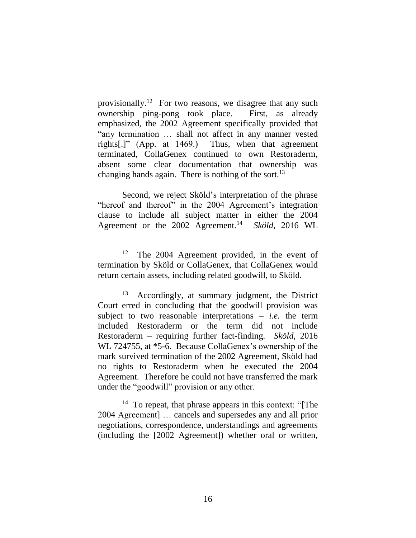provisionally.<sup>12</sup> For two reasons, we disagree that any such ownership ping-pong took place. First, as already emphasized, the 2002 Agreement specifically provided that "any termination … shall not affect in any manner vested rights[.]" (App. at 1469.) Thus, when that agreement terminated, CollaGenex continued to own Restoraderm, absent some clear documentation that ownership was changing hands again. There is nothing of the sort.<sup>13</sup>

Second, we reject Sköld's interpretation of the phrase "hereof and thereof" in the 2004 Agreement's integration clause to include all subject matter in either the 2004 Agreement or the 2002 Agreement.<sup>14</sup> Sköld, 2016 WL

 $\overline{a}$ 

<sup>14</sup> To repeat, that phrase appears in this context: "[The 2004 Agreement] … cancels and supersedes any and all prior negotiations, correspondence, understandings and agreements (including the [2002 Agreement]) whether oral or written,

<sup>12</sup> The 2004 Agreement provided, in the event of termination by Sköld or CollaGenex, that CollaGenex would return certain assets, including related goodwill, to Sköld.

<sup>13</sup> Accordingly, at summary judgment, the District Court erred in concluding that the goodwill provision was subject to two reasonable interpretations – *i.e.* the term included Restoraderm or the term did not include Restoraderm – requiring further fact-finding. *Sköld,* 2016 WL 724755, at \*5-6. Because CollaGenex's ownership of the mark survived termination of the 2002 Agreement, Sköld had no rights to Restoraderm when he executed the 2004 Agreement. Therefore he could not have transferred the mark under the "goodwill" provision or any other.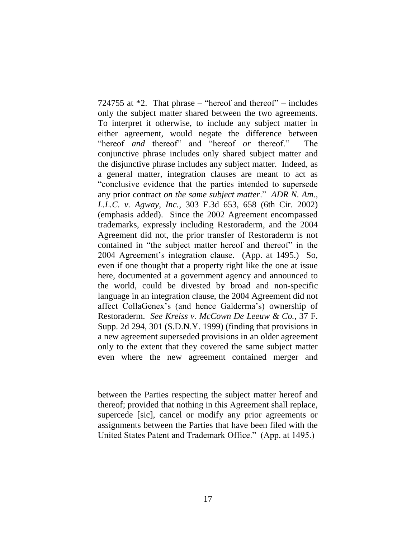724755 at \*2. That phrase – "hereof and thereof" – includes only the subject matter shared between the two agreements. To interpret it otherwise, to include any subject matter in either agreement, would negate the difference between "hereof *and* thereof" and "hereof *or* thereof." The conjunctive phrase includes only shared subject matter and the disjunctive phrase includes any subject matter. Indeed, as a general matter, integration clauses are meant to act as "conclusive evidence that the parties intended to supersede any prior contract *on the same subject matter*." *ADR N. Am., L.L.C. v. Agway, Inc.*, 303 F.3d 653, 658 (6th Cir. 2002) (emphasis added). Since the 2002 Agreement encompassed trademarks, expressly including Restoraderm, and the 2004 Agreement did not, the prior transfer of Restoraderm is not contained in "the subject matter hereof and thereof" in the 2004 Agreement's integration clause. (App. at 1495.) So, even if one thought that a property right like the one at issue here, documented at a government agency and announced to the world, could be divested by broad and non-specific language in an integration clause, the 2004 Agreement did not affect CollaGenex's (and hence Galderma's) ownership of Restoraderm. *See Kreiss v. McCown De Leeuw & Co.*, 37 F. Supp. 2d 294, 301 (S.D.N.Y. 1999) (finding that provisions in a new agreement superseded provisions in an older agreement only to the extent that they covered the same subject matter even where the new agreement contained merger and

between the Parties respecting the subject matter hereof and thereof; provided that nothing in this Agreement shall replace, supercede [sic], cancel or modify any prior agreements or assignments between the Parties that have been filed with the United States Patent and Trademark Office." (App. at 1495.)